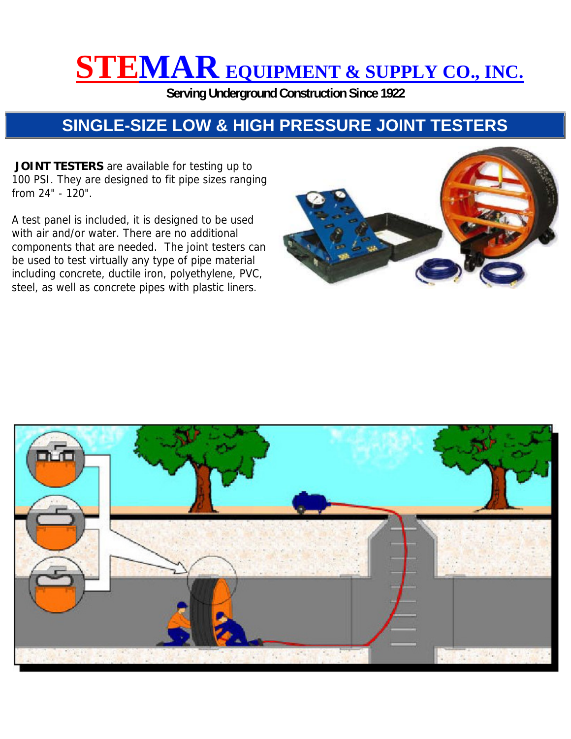## **STEMAR EQUIPMENT & SUPPLY CO., INC.**

**Serving Underground Construction Since 1922** 

## **SINGLE-SIZE LOW & HIGH PRESSURE JOINT TESTERS**

 **JOINT TESTERS** are available for testing up to 100 PSI. They are designed to fit pipe sizes ranging from 24" - 120".

A test panel is included, it is designed to be used with air and/or water. There are no additional components that are needed. The joint testers can be used to test virtually any type of pipe material including concrete, ductile iron, polyethylene, PVC, steel, as well as concrete pipes with plastic liners.